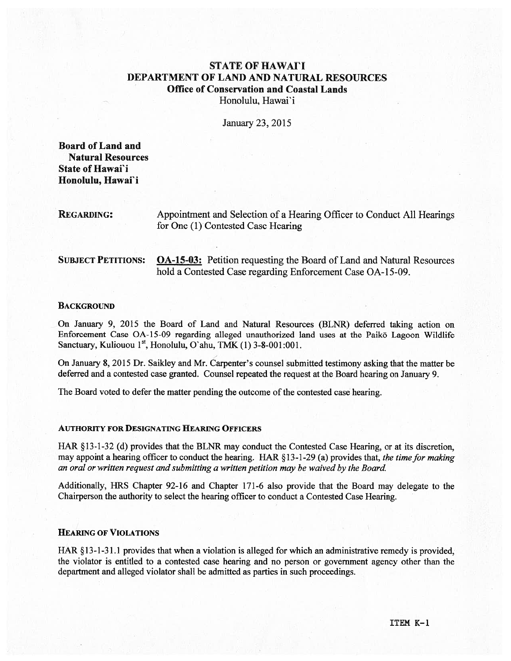# **STATE OF HAWAII** DEPARTMENT OF LAND AND NATURAL RESOURCES Office of Conservation and Coastal Lands Honolulu, Hawai'i

January 23, 2015

Board of Land and Natural Resources State of Hawai'i Honolulu, Hawai'i

REGARDING: Appointment and Selection of <sup>a</sup> Hearing Officer to Conduct All Hearings for One (1) Contested Case Hearing

SUBJECT PETITIONS: OA-15-03: Petition requesting the Board of Land and Natural Resources hold <sup>a</sup> Contested Case regarding Enforcement Case OA-15-09.

### **BACKGROUND**

On January 9, 2015 the Board of Land and Natural Resources (BLNR) deferred taking action on Enforcement Case OA-15-09 regarding alleged unauthorized land uses at the Paikō Lagoon Wildlife Sanctuary, Kuliouou  $1<sup>st</sup>$ , Honolulu, O'ahu, TMK (1) 3-8-001:001.

On January 8, 2015 Dr. Saikley and Mr. Carpenter's counsel submitted testimony asking that the matter be deferred and <sup>a</sup> contested case granted. Counsel repeated the reques<sup>t</sup> at the Board hearing on January 9.

The Board voted to defer the matter pending the outcome of the contested case hearing.

#### AUTHORITY FOR DESIGNATING HEARING OFFICERS

HAR § 13-1-32 (d) provides that the BLNR may conduct the Contested Case Hearing, or at its discretion, may appoint a hearing officer to conduct the hearing. HAR §13-1-29 (a) provides that, the time for making an oral or written reques<sup>t</sup> and submitting <sup>a</sup> written petition may be waived by the Board.

Additionally, HRS Chapter 92-16 and Chapter 171-6 also provide that the Board may delegate to the Chairperson the authority to select the hearing officer to conduct <sup>a</sup> Contested Case Hearing.

# HEARING OF VIOLATIONS

HAR §13-1-3 1.1 provides that when <sup>a</sup> violation is alleged for which an administrative remedy is provided, the violator is entitled to <sup>a</sup> contested case hearing and no person or governmen<sup>t</sup> agency other than the department and alleged violator shall be admitted as parties in such proceedings.